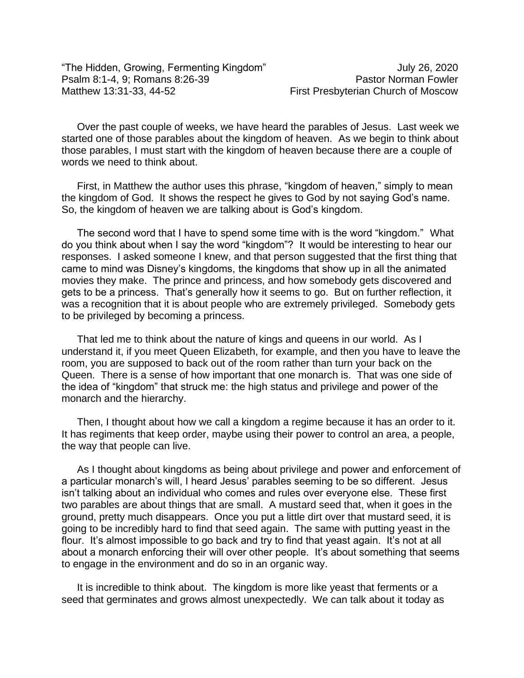Over the past couple of weeks, we have heard the parables of Jesus. Last week we started one of those parables about the kingdom of heaven. As we begin to think about those parables, I must start with the kingdom of heaven because there are a couple of words we need to think about.

First, in Matthew the author uses this phrase, "kingdom of heaven," simply to mean the kingdom of God. It shows the respect he gives to God by not saying God's name. So, the kingdom of heaven we are talking about is God's kingdom.

The second word that I have to spend some time with is the word "kingdom." What do you think about when I say the word "kingdom"? It would be interesting to hear our responses. I asked someone I knew, and that person suggested that the first thing that came to mind was Disney's kingdoms, the kingdoms that show up in all the animated movies they make. The prince and princess, and how somebody gets discovered and gets to be a princess. That's generally how it seems to go. But on further reflection, it was a recognition that it is about people who are extremely privileged. Somebody gets to be privileged by becoming a princess.

That led me to think about the nature of kings and queens in our world. As I understand it, if you meet Queen Elizabeth, for example, and then you have to leave the room, you are supposed to back out of the room rather than turn your back on the Queen. There is a sense of how important that one monarch is. That was one side of the idea of "kingdom" that struck me: the high status and privilege and power of the monarch and the hierarchy.

Then, I thought about how we call a kingdom a regime because it has an order to it. It has regiments that keep order, maybe using their power to control an area, a people, the way that people can live.

As I thought about kingdoms as being about privilege and power and enforcement of a particular monarch's will, I heard Jesus' parables seeming to be so different. Jesus isn't talking about an individual who comes and rules over everyone else. These first two parables are about things that are small. A mustard seed that, when it goes in the ground, pretty much disappears. Once you put a little dirt over that mustard seed, it is going to be incredibly hard to find that seed again. The same with putting yeast in the flour. It's almost impossible to go back and try to find that yeast again. It's not at all about a monarch enforcing their will over other people. It's about something that seems to engage in the environment and do so in an organic way.

It is incredible to think about. The kingdom is more like yeast that ferments or a seed that germinates and grows almost unexpectedly. We can talk about it today as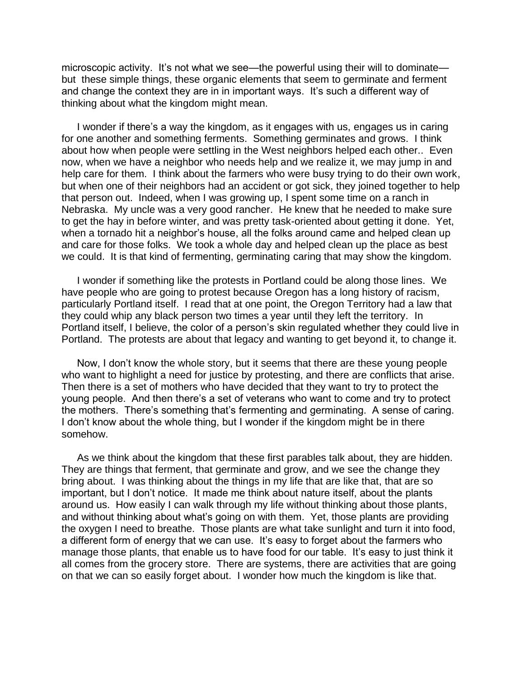microscopic activity. It's not what we see—the powerful using their will to dominate but these simple things, these organic elements that seem to germinate and ferment and change the context they are in in important ways. It's such a different way of thinking about what the kingdom might mean.

I wonder if there's a way the kingdom, as it engages with us, engages us in caring for one another and something ferments. Something germinates and grows. I think about how when people were settling in the West neighbors helped each other.. Even now, when we have a neighbor who needs help and we realize it, we may jump in and help care for them. I think about the farmers who were busy trying to do their own work, but when one of their neighbors had an accident or got sick, they joined together to help that person out. Indeed, when I was growing up, I spent some time on a ranch in Nebraska. My uncle was a very good rancher. He knew that he needed to make sure to get the hay in before winter, and was pretty task-oriented about getting it done. Yet, when a tornado hit a neighbor's house, all the folks around came and helped clean up and care for those folks. We took a whole day and helped clean up the place as best we could. It is that kind of fermenting, germinating caring that may show the kingdom.

I wonder if something like the protests in Portland could be along those lines. We have people who are going to protest because Oregon has a long history of racism, particularly Portland itself. I read that at one point, the Oregon Territory had a law that they could whip any black person two times a year until they left the territory. In Portland itself, I believe, the color of a person's skin regulated whether they could live in Portland. The protests are about that legacy and wanting to get beyond it, to change it.

Now, I don't know the whole story, but it seems that there are these young people who want to highlight a need for justice by protesting, and there are conflicts that arise. Then there is a set of mothers who have decided that they want to try to protect the young people. And then there's a set of veterans who want to come and try to protect the mothers. There's something that's fermenting and germinating. A sense of caring. I don't know about the whole thing, but I wonder if the kingdom might be in there somehow.

As we think about the kingdom that these first parables talk about, they are hidden. They are things that ferment, that germinate and grow, and we see the change they bring about. I was thinking about the things in my life that are like that, that are so important, but I don't notice. It made me think about nature itself, about the plants around us. How easily I can walk through my life without thinking about those plants, and without thinking about what's going on with them. Yet, those plants are providing the oxygen I need to breathe. Those plants are what take sunlight and turn it into food, a different form of energy that we can use. It's easy to forget about the farmers who manage those plants, that enable us to have food for our table. It's easy to just think it all comes from the grocery store. There are systems, there are activities that are going on that we can so easily forget about. I wonder how much the kingdom is like that.